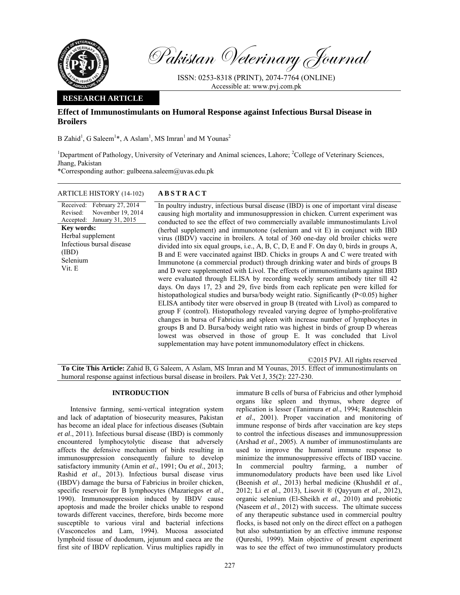

Pakistan Veterinary Journal

ISSN: 0253-8318 (PRINT), 2074-7764 (ONLINE) Accessible at: www.pvj.com.pk

## **RESEARCH ARTICLE**

# **Effect of Immunostimulants on Humoral Response against Infectious Bursal Disease in Broilers**

B Zahid<sup>1</sup>, G Saleem<sup>1\*</sup>, A Aslam<sup>1</sup>, MS Imran<sup>1</sup> and M Younas<sup>2</sup>

<sup>1</sup>Department of Pathology, University of Veterinary and Animal sciences, Lahore; <sup>2</sup>College of Veterinary Sciences, Jhang, Pakistan

\*Corresponding author: gulbeena.saleem@uvas.edu.pk

## ARTICLE HISTORY (14-102) **ABSTRACT**

Received: Revised: Accepted: January 31, 2015 February 27, 2014 November 19, 2014 **Key words:**  Herbal supplement Infectious bursal disease (IBD) Selenium Vit. E

 In poultry industry, infectious bursal disease (IBD) is one of important viral disease causing high mortality and immunosuppression in chicken. Current experiment was conducted to see the effect of two commercially available immunostimulants Livol (herbal supplement) and immunotone (selenium and vit E) in conjunct with IBD virus (IBDV) vaccine in broilers. A total of 360 one-day old broiler chicks were divided into six equal groups, i.e., A, B, C, D, E and F. On day 0, birds in groups A, B and E were vaccinated against IBD. Chicks in groups A and C were treated with Immunotone (a commercial product) through drinking water and birds of groups B and D were supplemented with Livol. The effects of immunostimulants against IBD were evaluated through ELISA by recording weekly serum antibody titer till 42 days. On days 17, 23 and 29, five birds from each replicate pen were killed for histopathological studies and bursa/body weight ratio. Significantly (P<0.05) higher ELISA antibody titer were observed in group B (treated with Livol) as compared to group F (control). Histopathology revealed varying degree of lympho-proliferative changes in bursa of Fabricius and spleen with increase number of lymphocytes in groups B and D. Bursa/body weight ratio was highest in birds of group D whereas lowest was observed in those of group E. It was concluded that Livol supplementation may have potent immunomodulatory effect in chickens.

©2015 PVJ. All rights reserved **To Cite This Article:** Zahid B, G Saleem, A Aslam, MS Imran and M Younas, 2015. Effect of immunostimulants on humoral response against infectious bursal disease in broilers. Pak Vet J, 35(2): 227-230.

### **INTRODUCTION**

Intensive farming, semi-vertical integration system and lack of adaptation of biosecurity measures, Pakistan has become an ideal place for infectious diseases (Subtain *et al*., 2011). Infectious bursal disease (IBD) is commonly encountered lymphocytolytic disease that adversely affects the defensive mechanism of birds resulting in immunosuppression consequently failure to develop satisfactory immunity (Amin *et al*., 1991; Ou *et al*., 2013; Rashid *et al*., 2013). Infectious bursal disease virus (IBDV) damage the bursa of Fabricius in broiler chicken, specific reservoir for B lymphocytes (Mazariegos *et al*., 1990). Immunosuppression induced by IBDV cause apoptosis and made the broiler chicks unable to respond towards different vaccines, therefore, birds become more susceptible to various viral and bacterial infections (Vasconcelos and Lam, 1994). Mucosa associated lymphoid tissue of duodenum, jejunum and caeca are the first site of IBDV replication. Virus multiplies rapidly in

immature B cells of bursa of Fabricius and other lymphoid organs like spleen and thymus, where degree of replication is lesser (Tanimura *et al*., 1994; Rautenschlein *et al*., 2001). Proper vaccination and monitoring of immune response of birds after vaccination are key steps to control the infectious diseases and immunosuppression (Arshad *et al*., 2005). A number of immunostimulants are used to improve the humoral immune response to minimize the immunosuppressive effects of IBD vaccine. In commercial poultry farming, a number of immunomodulatory products have been used like Livol (Beenish *et al*., 2013) herbal medicine (Khushdil *et al*., 2012; Li *et al*., 2013), Lisovit ® (Qayyum *et al*., 2012), organic selenium (El-Sheikh *et al*., 2010) and probiotic (Naseem *et al*., 2012) with success. The ultimate success of any therapeutic substance used in commercial poultry flocks, is based not only on the direct effect on a pathogen but also substantiation by an effective immune response (Qureshi, 1999). Main objective of present experiment was to see the effect of two immunostimulatory products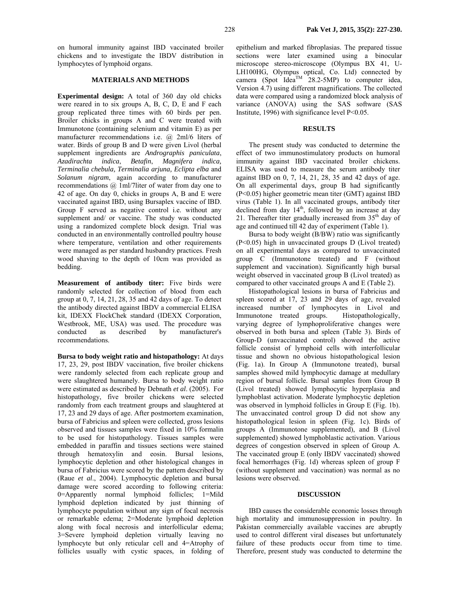on humoral immunity against IBD vaccinated broiler chickens and to investigate the IBDV distribution in lymphocytes of lymphoid organs.

### **MATERIALS AND METHODS**

**Experimental design:** A total of 360 day old chicks were reared in to six groups A, B, C, D, E and F each group replicated three times with 60 birds per pen. Broiler chicks in groups A and C were treated with Immunotone (containing selenium and vitamin E) as per manufacturer recommendations i.e. @ 2ml/6 liters of water. Birds of group B and D were given Livol (herbal supplement ingredients are *Andrographis paniculata*, *Azadirachta indica*, *Betafin*, *Magnifera indica, Terminalia chebula, Terminalia arjuna, Eclipta elba* and *Solanum nigram*, again according to manufacturer recommendations @ 1ml/7liter of water from day one to 42 of age. On day 0, chicks in groups A, B and E were vaccinated against IBD, using Bursaplex vaccine of IBD. Group F served as negative control i.e. without any supplement and/ or vaccine. The study was conducted using a randomized complete block design. Trial was conducted in an environmentally controlled poultry house where temperature, ventilation and other requirements were managed as per standard husbandry practices. Fresh wood shaving to the depth of 10cm was provided as bedding.

**Measurement of antibody titer:** Five birds were randomly selected for collection of blood from each group at 0, 7, 14, 21, 28, 35 and 42 days of age. To detect the antibody directed against IBDV a commercial ELISA kit, IDEXX FlockChek standard (IDEXX Corporation, Westbrook, ME, USA) was used. The procedure was conducted as described by manufacturer's recommendations.

**Bursa to body weight ratio and histopathology:** At days 17, 23, 29, post IBDV vaccination, five broiler chickens were randomly selected from each replicate group and were slaughtered humanely. Bursa to body weight ratio were estimated as described by Debnath *et al*. (2005). For histopathology, five broiler chickens were selected randomly from each treatment groups and slaughtered at 17, 23 and 29 days of age. After postmortem examination, bursa of Fabricius and spleen were collected, gross lesions observed and tissues samples were fixed in 10% formalin to be used for histopathology. Tissues samples were embedded in paraffin and tissues sections were stained through hematoxylin and eosin. Bursal lesions, lymphocytic depletion and other histological changes in bursa of Fabricius were scored by the pattern described by (Raue *et al*., 2004). Lymphocytic depletion and bursal damage were scored according to following criteria: 0=Apparently normal lymphoid follicles; 1=Mild lymphoid depletion indicated by just thinning of lymphocyte population without any sign of focal necrosis or remarkable edema; 2=Moderate lymphoid depletion along with focal necrosis and interfollicular edema; 3=Severe lymphoid depletion virtually leaving no lymphocyte but only reticular cell and 4=Atrophy of follicles usually with cystic spaces, in folding of

epithelium and marked fibroplasias. The prepared tissue sections were later examined using a binocular microscope stereo-microscope (Olympus BX 41, U-LH100HG, Olympus optical, Co. Ltd) connected by camera (Spot Idea<sup>TM</sup> 28.2-5MP) to computer idea, Version 4.7) using different magnifications. The collected data were compared using a randomized block analysis of variance (ANOVA) using the SAS software (SAS Institute, 1996) with significance level P<0.05.

#### **RESULTS**

The present study was conducted to determine the effect of two immunostimulatory products on humoral immunity against IBD vaccinated broiler chickens. ELISA was used to measure the serum antibody titer against IBD on 0, 7, 14, 21, 28, 35 and 42 days of age. On all experimental days, group B had significantly (P<0.05) higher geometric mean titer (GMT) against IBD virus (Table 1). In all vaccinated groups, antibody titer declined from day  $14<sup>th</sup>$ , followed by an increase at day 21. Thereafter titer gradually increased from  $35<sup>th</sup>$  day of age and continued till 42 day of experiment (Table 1).

Bursa to body weight (B/BW) ratio was significantly (P<0.05) high in unvaccinated groups D (Livol treated) on all experimental days as compared to unvaccinated group C (Immunotone treated) and F (without supplement and vaccination). Significantly high bursal weight observed in vaccinated group B (Livol treated) as compared to other vaccinated groups A and E (Table 2).

Histopathological lesions in bursa of Fabricius and spleen scored at 17, 23 and 29 days of age, revealed increased number of lymphocytes in Livol and Immunotone treated groups. Histopathologically, varying degree of lymphoproliferative changes were observed in both bursa and spleen (Table 3). Birds of Group-D (unvaccinated control) showed the active follicle consist of lymphoid cells with interfollicular tissue and shown no obvious histopathological lesion (Fig. 1a). In Group A (Immunotone treated), bursal samples showed mild lymphocytic damage at medullary region of bursal follicle. Bursal samples from Group B (Livol treated) showed lymphocytic hyperplasia and lymphoblast activation. Moderate lymphocytic depletion was observed in lymphoid follicles in Group E (Fig. 1b). The unvaccinated control group D did not show any histopathological lesion in spleen (Fig. 1c). Birds of groups A (Immunotone supplemented), and B (Livol supplemented) showed lymphoblastic activation. Various degrees of congestion observed in spleen of Group A. The vaccinated group E (only IBDV vaccinated) showed focal hemorrhages (Fig. 1d) whereas spleen of group F (without supplement and vaccination) was normal as no lesions were observed.

#### **DISCUSSION**

IBD causes the considerable economic losses through high mortality and immunosuppression in poultry. In Pakistan commercially available vaccines are abruptly used to control different viral diseases but unfortunately failure of these products occur from time to time. Therefore, present study was conducted to determine the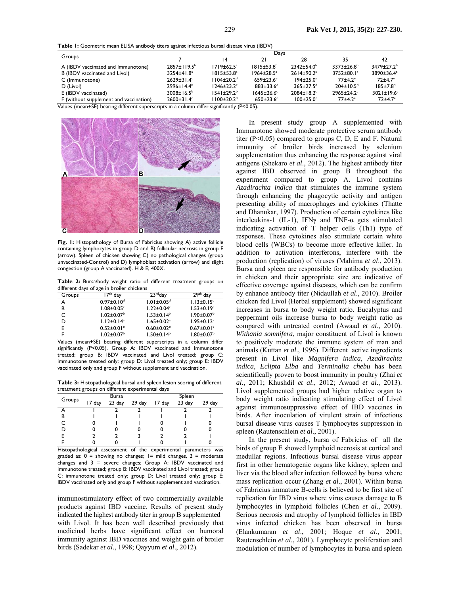**Table 1:** Geometric mean ELISA antibody titers against infectious bursal disease virus (IBDV)

| Groups                                                                                               | Days                          |                                                                                                     |                             |                              |                              |                              |  |
|------------------------------------------------------------------------------------------------------|-------------------------------|-----------------------------------------------------------------------------------------------------|-----------------------------|------------------------------|------------------------------|------------------------------|--|
|                                                                                                      |                               |                                                                                                     | 21                          | 28                           | 35                           | 42                           |  |
| A (IBDV vaccinated and Immunotone)                                                                   | $2857 \pm 119.5^{\circ}$      | $1719 \pm 62.5^a$                                                                                   | $1815 \pm 53.8^{\circ}$     | $7347 + 540^b$               | $3373 \pm 26.8^b$            | $3479+77.2^{b}$              |  |
| B (IBDV vaccinated and Livol)                                                                        | 3254±41.8 <sup>a</sup>        | $1815 \pm 53.8^a$                                                                                   | $1964 \pm 28.5^{\circ}$     | $2614 \pm 90.2$ <sup>a</sup> | $3752 \pm 80.1^a$            | 3890±36.4 <sup>a</sup>       |  |
| C (Immunotone)                                                                                       | $2629 \pm 31.4$ °             | $1104 \pm 20.2$ <sup>d</sup>                                                                        | $659 \pm 23.6$ <sup>e</sup> | $194 \pm 25.0^{\circ}$       | $77 + 4.2$ <sup>e</sup>      | $72 + 4.7$ <sup>e</sup>      |  |
| D (Livol)                                                                                            | $2996 \pm 14.4^b$             | $1246 \pm 23.2$ <sup>c</sup>                                                                        | $883 \pm 33.6$ <sup>d</sup> | $365 \pm 27.5$ <sup>d</sup>  | $204 \pm 10.5$ <sup>d</sup>  | $185 \pm 7.8$ <sup>d</sup>   |  |
| E (IBDV vaccinated)                                                                                  | $3008 \pm 16.5^{\circ}$       | $1541 \pm 29.2^b$                                                                                   | $1645 \pm 26.6^{\circ}$     | $2084 \pm 18.2$ <sup>c</sup> | $2965 \pm 24.2$ <sup>c</sup> | $3021 \pm 19.6$ <sup>c</sup> |  |
| F (without supplement and vaccination)<br>$\cdots$<br>$\sim$ $\sim$ $\sim$ $\sim$ $\sim$<br>$\cdots$ | $2600 \pm 31.4$ °<br>$\cdots$ | l 100±20.2 <sup>d</sup><br>$\sim$ $\sim$ $\sim$ $\sim$ $\sim$<br>$\sim$ $\sim$ $\sim$ $\sim$ $\sim$ | $650 \pm 23.6$ <sup>e</sup> | $100 \pm 25.0$ <sup>e</sup>  | $77 + 4.2$ <sup>e</sup>      | $72 + 4.7$ <sup>e</sup>      |  |

Values (mean<sup>+</sup>SE) bearing different superscripts in a column differ significantly (P<0.05).



**Fig. 1:** Histopathology of Bursa of Fabricius showing A) active follicle containing lymphocytes in group D and B) follicular necrosis in group E (arrow). Spleen of chicken showing C) no pathological changes (group unvaccinated-Control) and D) lymphoblast activation (arrow) and slight congestion (group A vaccinated). H & E; 400X.

**Table 2:** Bursa/body weight ratio of different treatment groups on different days of age in broiler chickens

| Groups | dav                          | $23$ <sup>rd</sup> day       | 79th<br>day                  |
|--------|------------------------------|------------------------------|------------------------------|
| А      | $0.97 \pm 0.10$ <sup>d</sup> | $1.01 \pm 0.05$ <sup>d</sup> | $1.13 \pm 0.15$ <sup>d</sup> |
| в      | $1.08 \pm 0.05$ <sup>c</sup> | $1.22 \pm 0.04$ <sup>c</sup> | $1.53 \pm 0.19^c$            |
| C      | $1.02 \pm 0.07$ <sup>b</sup> | $1.53 \pm 0.14^b$            | $1.90 \pm 0.07$ <sup>b</sup> |
| D      | $1.12 \pm 0.14$ <sup>a</sup> | $1.65 \pm 0.02$ <sup>a</sup> | $1.95 \pm 0.12$ <sup>a</sup> |
| E      | $0.52 \pm 0.01$ <sup>e</sup> | $0.60 \pm 0.02$ <sup>e</sup> | $0.67 \pm 0.01$ <sup>c</sup> |
|        | $1.02 \pm 0.07^{\circ}$      | $1.50 \pm 0.14^b$            | $1.80 \pm 0.07^b$            |

Values (mean+SE) bearing different superscripts in a column differ significantly (P<0.05). Group A: IBDV vaccinated and Immunotone treated; group B: IBDV vaccinated and Livol treated; group C: immunotone treated only; group D: Livol treated only; group E: IBDV vaccinated only and group F without supplement and vaccination.

**Table 3:** Histopathological bursal and spleen lesion scoring of different treatment groups on different experimental days

| Groups |                     | Bursa               |        |        | Spleen |        |
|--------|---------------------|---------------------|--------|--------|--------|--------|
|        | $\overline{17}$ day | $\overline{23}$ day | 29 day | 17 day | 23 day | 29 day |
|        |                     |                     |        |        |        |        |
| в      |                     |                     |        |        |        |        |
|        |                     |                     |        |        |        |        |
|        |                     |                     |        |        |        |        |
|        |                     |                     |        |        |        |        |
|        |                     |                     |        |        |        |        |

Histopathological assessment of the experimental parameters was graded as:  $0 =$  showing no changes;  $1 =$  mild changes,  $2 =$  moderate changes and  $3$  = severe changes; Group A: IBDV vaccinated and immunotone treated; group B: IBDV vaccinated and Livol treated; group C: immunotone treated only; group D: Livol treated only; group E: IBDV vaccinated only and group F without supplement and vaccination.

immunostimulatory effect of two commercially available products against IBD vaccine. Results of present study indicated the highest antibody titer in group B supplemented with Livol. It has been well described previously that medicinal herbs have significant effect on humoral immunity against IBD vaccines and weight gain of broiler birds (Sadekar *et al*., 1998; Qayyum *et al*., 2012).

In present study group A supplemented with Immunotone showed moderate protective serum antibody titer ( $P < 0.05$ ) compared to groups C, D, E and F. Natural immunity of broiler birds increased by selenium supplementation thus enhancing the response against viral antigens (Shekaro *et al*., 2012). The highest antibody titer against IBD observed in group B throughout the experiment compared to group A. Livol contains *Azadirachta indica* that stimulates the immune system through enhancing the phagocytic activity and antigen presenting ability of macrophages and cytokines (Thatte and Dhanukar, 1997). Production of certain cytokines like interleukins-1 (IL-1), IFN $\gamma$  and TNF- $\alpha$  gets stimulated indicating activation of T helper cells (Th1) type of responses. These cytokines also stimulate certain white blood cells (WBCs) to become more effective killer. In addition to activation interferons, interfere with the production (replication) of viruses (Mahima *et al*., 2013). Bursa and spleen are responsible for antibody production in chicken and their appropriate size are indicative of effective coverage against diseases, which can be confirm by enhance antibody titer (Nidaullah *et al*., 2010). Broiler chicken fed Livol (Herbal supplement) showed significant increases in bursa to body weight ratio. Eucalyptus and peppermint oils increase bursa to body weight ratio as compared with untreated control (Awaad *et al*., 2010). *Withania somnifera*, major constituent of Livol is known to positively moderate the immune system of man and animals (Kuttan *et al*., 1996). Different active ingredients present in Livol like *Magnifera indica, Azadirachta indica, Eclipta Elba* and *Terminalia chebu* has been scientifically proven to boost immunity in poultry (Zhai *et al*., 2011; Khushdil *et al*., 2012; Awaad *et al*., 2013). Livol supplemented groups had higher relative organ to body weight ratio indicating stimulating effect of Livol against immunosuppressive effect of IBD vaccines in birds. After inoculation of virulent strain of infectious bursal disease virus causes T lymphocytes suppression in spleen (Rautenschlein *et al*., 2001).

In the present study, bursa of Fabricius of all the birds of group E showed lymphoid necrosis at cortical and medullar regions. Infectious bursal disease virus appear first in other hematogenic organs like kidney, spleen and liver via the blood after infection followed by bursa where mass replication occur (Zhang *et al*., 2001). Within bursa of Fabricius immature B-cells is believed to be first site of replication for IBD virus where virus causes damage to B lymphocytes in lymphoid follicles (Chen *et al*., 2009). Serious necrosis and atrophy of lymphoid follicles in IBD virus infected chicken has been observed in bursa (Elankumaran *et al*., 2001; Hoque *et al*., 2001; Rautenschlein *et al*., 2001). Lymphocyte proliferation and modulation of number of lymphocytes in bursa and spleen